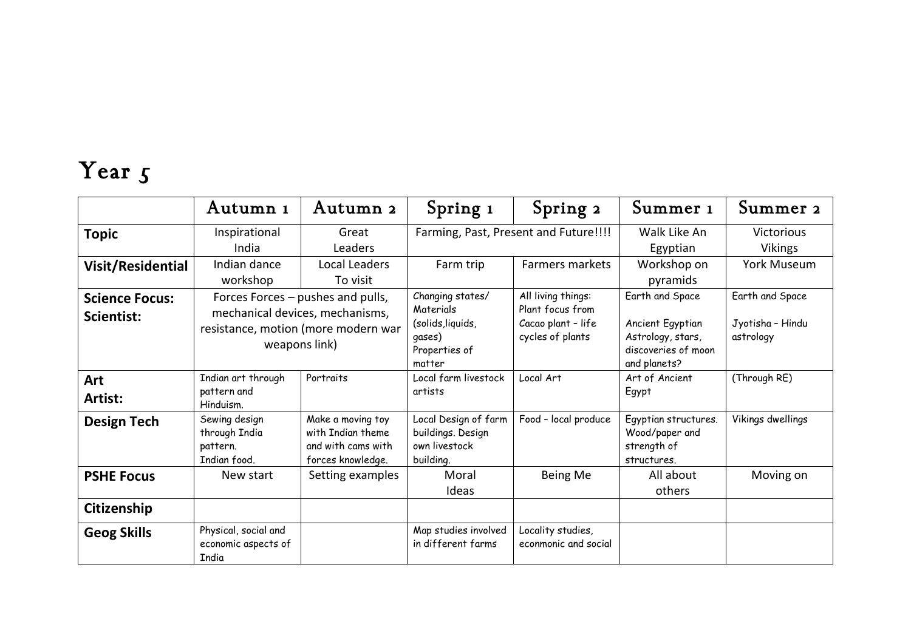## Year 5

|                                     | Autumn 1                                                                                                                     | Autumn 2                                                                          | Spring 1                                                                                | Spring 2                                                                         | Summer 1                                                                                        | Summer 2                                         |
|-------------------------------------|------------------------------------------------------------------------------------------------------------------------------|-----------------------------------------------------------------------------------|-----------------------------------------------------------------------------------------|----------------------------------------------------------------------------------|-------------------------------------------------------------------------------------------------|--------------------------------------------------|
| <b>Topic</b>                        | Inspirational<br>Great<br>India<br><b>Leaders</b>                                                                            |                                                                                   | Farming, Past, Present and Future!!!!                                                   |                                                                                  | Walk Like An<br>Egyptian                                                                        | <b>Victorious</b><br><b>Vikings</b>              |
| Visit/Residential                   | Indian dance<br>workshop                                                                                                     | Local Leaders<br>To visit                                                         | Farm trip                                                                               | Farmers markets                                                                  | Workshop on<br>pyramids                                                                         | <b>York Museum</b>                               |
| <b>Science Focus:</b><br>Scientist: | Forces Forces - pushes and pulls,<br>mechanical devices, mechanisms,<br>resistance, motion (more modern war<br>weapons link) |                                                                                   | Changing states/<br>Materials<br>(solids, liquids,<br>qases)<br>Properties of<br>matter | All living things:<br>Plant focus from<br>Cacao plant - life<br>cycles of plants | Earth and Space<br>Ancient Egyptian<br>Astrology, stars,<br>discoveries of moon<br>and planets? | Earth and Space<br>Jyotisha - Hindu<br>astrology |
| Art<br>Artist:                      | Indian art through<br>pattern and<br>Hinduism.                                                                               | Portraits                                                                         | Local farm livestock<br>artists                                                         | Local Art                                                                        | Art of Ancient<br>Egypt                                                                         | (Through RE)                                     |
| <b>Design Tech</b>                  | Sewing design<br>through India<br>pattern.<br>Indian food.                                                                   | Make a moving toy<br>with Indian theme<br>and with cams with<br>forces knowledge. | Local Design of farm<br>buildings. Design<br>own livestock<br>building.                 | Food - local produce                                                             | Egyptian structures.<br>Wood/paper and<br>strength of<br>structures.                            | Vikings dwellings                                |
| <b>PSHE Focus</b>                   | New start                                                                                                                    | Setting examples                                                                  | Moral<br>Ideas                                                                          | Being Me                                                                         | All about<br>others                                                                             | Moving on                                        |
| Citizenship                         |                                                                                                                              |                                                                                   |                                                                                         |                                                                                  |                                                                                                 |                                                  |
| <b>Geog Skills</b>                  | Physical, social and<br>economic aspects of<br><b>India</b>                                                                  |                                                                                   | Map studies involved<br>in different farms                                              | Locality studies,<br>econmonic and social                                        |                                                                                                 |                                                  |